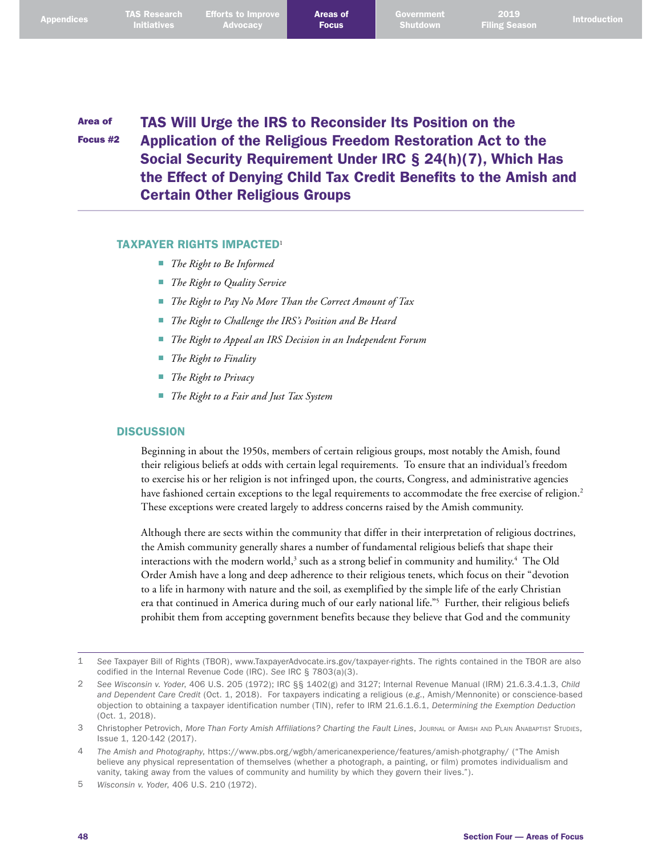## Area of Focus #2 TAS Will Urge the IRS to Reconsider Its Position on the Application of the Religious Freedom Restoration Act to the Social Security Requirement Under IRC § 24(h)(7), Which Has the Effect of Denying Child Tax Credit Benefits to the Amish and Certain Other Religious Groups

#### TAXPAYER RIGHTS IMPACTED<sup>1</sup>

- *The Right to Be Informed*
- *The Right to Quality Service*
- *The Right to Pay No More Than the Correct Amount of Tax*
- *The Right to Challenge the IRS's Position and Be Heard*
- *The Right to Appeal an IRS Decision in an Independent Forum*
- *The Right to Finality*
- *The Right to Privacy*
- *The Right to a Fair and Just Tax System*

### **DISCUSSION**

Beginning in about the 1950s, members of certain religious groups, most notably the Amish, found their religious beliefs at odds with certain legal requirements. To ensure that an individual's freedom to exercise his or her religion is not infringed upon, the courts, Congress, and administrative agencies have fashioned certain exceptions to the legal requirements to accommodate the free exercise of religion. 2 These exceptions were created largely to address concerns raised by the Amish community.

Although there are sects within the community that differ in their interpretation of religious doctrines, the Amish community generally shares a number of fundamental religious beliefs that shape their interactions with the modern world,<sup>3</sup> such as a strong belief in community and humility.<sup>4</sup> The Old Order Amish have a long and deep adherence to their religious tenets, which focus on their "devotion to a life in harmony with nature and the soil, as exemplified by the simple life of the early Christian era that continued in America during much of our early national life."5 Further, their religious beliefs prohibit them from accepting government benefits because they believe that God and the community

<sup>1</sup> *See* Taxpayer Bill of Rights (TBOR), [www.TaxpayerAdvocate.irs.gov/taxpayer-rights](http://www.TaxpayerAdvocate.irs.gov/taxpayer-rights). The rights contained in the TBOR are also codified in the Internal Revenue Code (IRC). *See* IRC § 7803(a)(3).

<sup>2</sup> *See Wisconsin v. Yoder*, 406 U.S. 205 (1972); IRC §§ 1402(g) and 3127; Internal Revenue Manual (IRM) 21.6.3.4.1.3, *Child and Dependent Care Credit* (Oct. 1, 2018). For taxpayers indicating a religious (*e.g*., Amish/Mennonite) or conscience-based objection to obtaining a taxpayer identification number (TIN), refer to IRM 21.6.1.6.1, *Determining the Exemption Deduction* (Oct. 1, 2018).

<sup>3</sup> Christopher Petrovich, *More Than Forty Amish Affiliations? Charting the Fault Lines*, Journal of Amish and Plain Anabaptist Studies, Issue 1, 120-142 (2017).

<sup>4</sup> *The Amish and Photography*,<https://www.pbs.org/wgbh/americanexperience/features/amish-photgraphy>/ ("The Amish believe any physical representation of themselves (whether a photograph, a painting, or film) promotes individualism and vanity, taking away from the values of community and humility by which they govern their lives.").

<sup>5</sup> *Wisconsin v. Yoder*, 406 U.S. 210 (1972).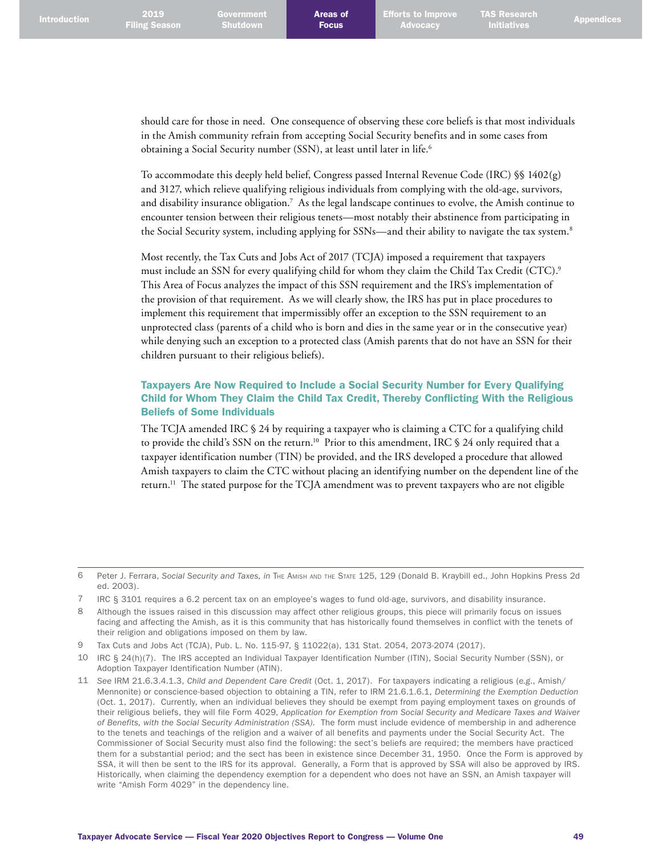should care for those in need. One consequence of observing these core beliefs is that most individuals in the Amish community refrain from accepting Social Security benefits and in some cases from obtaining a Social Security number (SSN), at least until later in life. 6

To accommodate this deeply held belief, Congress passed Internal Revenue Code (IRC) §§ 1402(g) and 3127, which relieve qualifying religious individuals from complying with the old-age, survivors, and disability insurance obligation.<sup>7</sup> As the legal landscape continues to evolve, the Amish continue to encounter tension between their religious tenets—most notably their abstinence from participating in the Social Security system, including applying for SSNs—and their ability to navigate the tax system.<sup>8</sup>

Most recently, the Tax Cuts and Jobs Act of 2017 (TCJA) imposed a requirement that taxpayers must include an SSN for every qualifying child for whom they claim the Child Tax Credit (CTC). 9 This Area of Focus analyzes the impact of this SSN requirement and the IRS's implementation of the provision of that requirement. As we will clearly show, the IRS has put in place procedures to implement this requirement that impermissibly offer an exception to the SSN requirement to an unprotected class (parents of a child who is born and dies in the same year or in the consecutive year) while denying such an exception to a protected class (Amish parents that do not have an SSN for their children pursuant to their religious beliefs).

## Taxpayers Are Now Required to Include a Social Security Number for Every Qualifying Child for Whom They Claim the Child Tax Credit, Thereby Conflicting With the Religious Beliefs of Some Individuals

The TCJA amended IRC § 24 by requiring a taxpayer who is claiming a CTC for a qualifying child to provide the child's SSN on the return. 10 Prior to this amendment, IRC § 24 only required that a taxpayer identification number (TIN) be provided, and the IRS developed a procedure that allowed Amish taxpayers to claim the CTC without placing an identifying number on the dependent line of the return. 11 The stated purpose for the TCJA amendment was to prevent taxpayers who are not eligible

<sup>6</sup> Peter J. Ferrara, *Social Security and Taxes, in* The Amish and the State 125, 129 (Donald B. Kraybill ed., John Hopkins Press 2d ed. 2003).

<sup>7</sup> IRC § 3101 requires a 6.2 percent tax on an employee's wages to fund old-age, survivors, and disability insurance.

<sup>8</sup> Although the issues raised in this discussion may affect other religious groups, this piece will primarily focus on issues facing and affecting the Amish, as it is this community that has historically found themselves in conflict with the tenets of their religion and obligations imposed on them by law.

<sup>9</sup> Tax Cuts and Jobs Act (TCJA), Pub. L. No. 115-97, § 11022(a), 131 Stat. 2054, 2073-2074 (2017).

<sup>10</sup> IRC § 24(h)(7). The IRS accepted an Individual Taxpayer Identification Number (ITIN), Social Security Number (SSN), or Adoption Taxpayer Identification Number (ATIN).

<sup>11</sup> *See* IRM 21.6.3.4.1.3, *Child and Dependent Care Credit* (Oct. 1, 2017). For taxpayers indicating a religious (*e.g*., Amish/ Mennonite) or conscience-based objection to obtaining a TIN, refer to IRM 21.6.1.6.1, *Determining the Exemption Deduction* (Oct. 1, 2017). Currently, when an individual believes they should be exempt from paying employment taxes on grounds of their religious beliefs, they will file Form 4029, *Application for Exemption from Social Security and Medicare Taxes and Waiver of Benefits, with the Social Security Administration (SSA).* The form must include evidence of membership in and adherence to the tenets and teachings of the religion and a waiver of all benefits and payments under the Social Security Act. The Commissioner of Social Security must also find the following: the sect's beliefs are required; the members have practiced them for a substantial period; and the sect has been in existence since December 31, 1950. Once the Form is approved by SSA, it will then be sent to the IRS for its approval. Generally, a Form that is approved by SSA will also be approved by IRS. Historically, when claiming the dependency exemption for a dependent who does not have an SSN, an Amish taxpayer will write "Amish Form 4029" in the dependency line.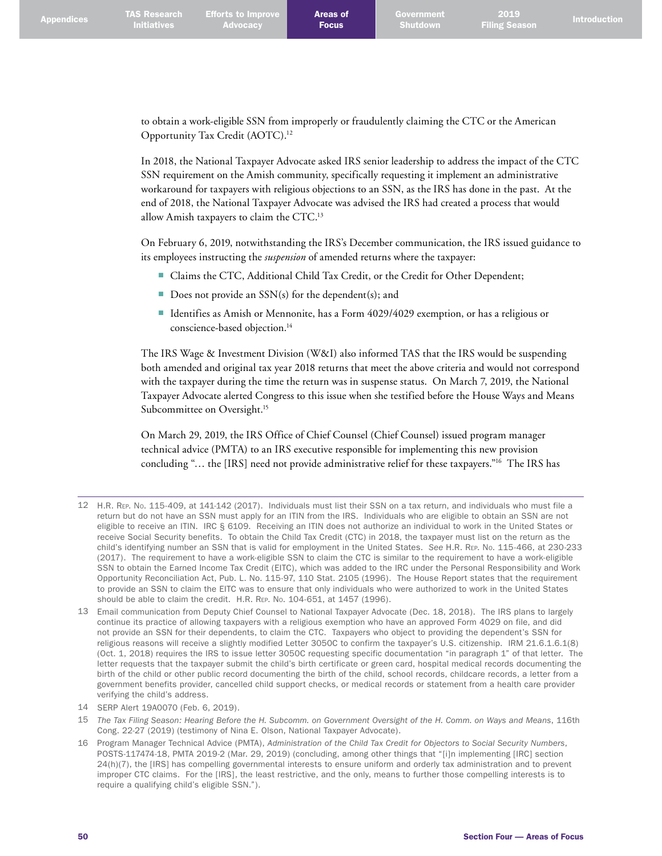**Advocacy** 

2019

to obtain a work-eligible SSN from improperly or fraudulently claiming the CTC or the American Opportunity Tax Credit (AOTC). 12

In 2018, the National Taxpayer Advocate asked IRS senior leadership to address the impact of the CTC SSN requirement on the Amish community, specifically requesting it implement an administrative workaround for taxpayers with religious objections to an SSN, as the IRS has done in the past. At the end of 2018, the National Taxpayer Advocate was advised the IRS had created a process that would allow Amish taxpayers to claim the CTC. 13

On February 6, 2019, notwithstanding the IRS's December communication, the IRS issued guidance to its employees instructing the *suspension* of amended returns where the taxpayer:

- Claims the CTC, Additional Child Tax Credit, or the Credit for Other Dependent;
- Does not provide an  $SSN(s)$  for the dependent(s); and
- Identifies as Amish or Mennonite, has a Form 4029/4029 exemption, or has a religious or conscience-based objection. 14

The IRS Wage & Investment Division (W&I) also informed TAS that the IRS would be suspending both amended and original tax year 2018 returns that meet the above criteria and would not correspond with the taxpayer during the time the return was in suspense status. On March 7, 2019, the National Taxpayer Advocate alerted Congress to this issue when she testified before the House Ways and Means Subcommittee on Oversight. 15

On March 29, 2019, the IRS Office of Chief Counsel (Chief Counsel) issued program manager technical advice (PMTA) to an IRS executive responsible for implementing this new provision concluding "… the [IRS] need not provide administrative relief for these taxpayers."16 The IRS has

15 *The Tax Filing Season: Hearing Before the H. Subcomm. on Government Oversight of the H. Comm. on Ways and Means*, 116th Cong. 22-27 (2019) (testimony of Nina E. Olson, National Taxpayer Advocate).

<sup>12</sup> H.R. Rep. No. 115-409, at 141-142 (2017). Individuals must list their SSN on a tax return, and individuals who must file a return but do not have an SSN must apply for an ITIN from the IRS. Individuals who are eligible to obtain an SSN are not eligible to receive an ITIN. IRC § 6109. Receiving an ITIN does not authorize an individual to work in the United States or receive Social Security benefits. To obtain the Child Tax Credit (CTC) in 2018, the taxpayer must list on the return as the child's identifying number an SSN that is valid for employment in the United States. *See* H.R. Rep. No. 115-466, at 230-233 (2017). The requirement to have a work-eligible SSN to claim the CTC is similar to the requirement to have a work-eligible SSN to obtain the Earned Income Tax Credit (EITC), which was added to the IRC under the Personal Responsibility and Work Opportunity Reconciliation Act, Pub. L. No. 115-97, 110 Stat. 2105 (1996). The House Report states that the requirement to provide an SSN to claim the EITC was to ensure that only individuals who were authorized to work in the United States should be able to claim the credit. H.R. Rep. No. 104-651, at 1457 (1996).

<sup>13</sup> Email communication from Deputy Chief Counsel to National Taxpayer Advocate (Dec. 18, 2018). The IRS plans to largely continue its practice of allowing taxpayers with a religious exemption who have an approved Form 4029 on file, and did not provide an SSN for their dependents, to claim the CTC. Taxpayers who object to providing the dependent's SSN for religious reasons will receive a slightly modified Letter 3050C to confirm the taxpayer's U.S. citizenship. IRM 21.6.1.6.1(8) (Oct. 1, 2018) requires the IRS to issue letter 3050C requesting specific documentation "in paragraph 1" of that letter. The letter requests that the taxpayer submit the child's birth certificate or green card, hospital medical records documenting the birth of the child or other public record documenting the birth of the child, school records, childcare records, a letter from a government benefits provider, cancelled child support checks, or medical records or statement from a health care provider verifying the child's address.

<sup>14</sup> SERP Alert 19A0070 (Feb. 6, 2019).

<sup>16</sup> Program Manager Technical Advice (PMTA), *Administration of the Child Tax Credit for Objectors to Social Security Numbers*, POSTS-117474-18, PMTA 2019-2 (Mar. 29, 2019) (concluding, among other things that "[i]n implementing [IRC] section 24(h)(7), the [IRS] has compelling governmental interests to ensure uniform and orderly tax administration and to prevent improper CTC claims. For the [IRS], the least restrictive, and the only, means to further those compelling interests is to require a qualifying child's eligible SSN.").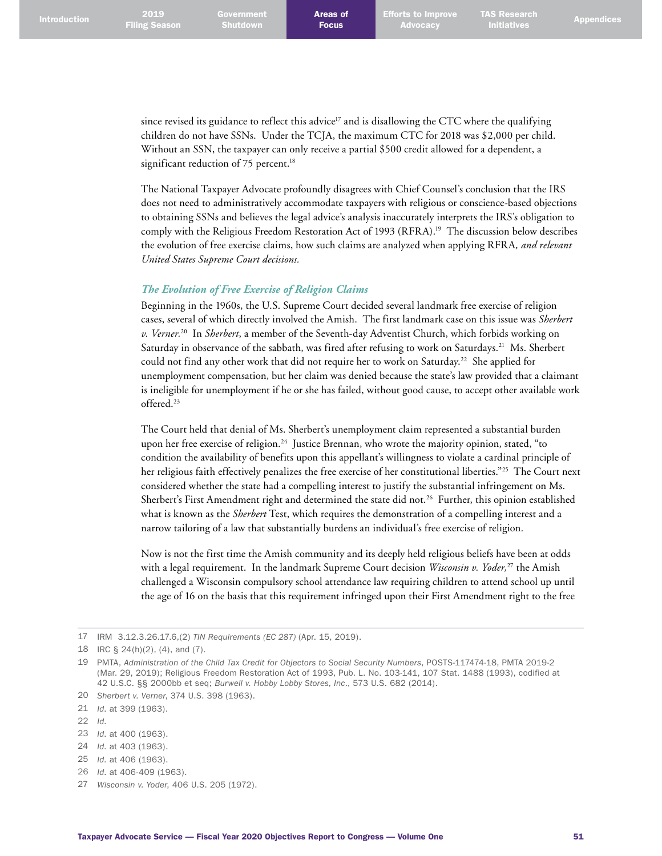since revised its guidance to reflect this advice<sup>17</sup> and is disallowing the CTC where the qualifying children do not have SSNs. Under the TCJA, the maximum CTC for 2018 was \$2,000 per child. Without an SSN, the taxpayer can only receive a partial \$500 credit allowed for a dependent, a significant reduction of 75 percent. 18

The National Taxpayer Advocate profoundly disagrees with Chief Counsel's conclusion that the IRS does not need to administratively accommodate taxpayers with religious or conscience-based objections to obtaining SSNs and believes the legal advice's analysis inaccurately interprets the IRS's obligation to comply with the Religious Freedom Restoration Act of 1993 (RFRA). 19 The discussion below describes the evolution of free exercise claims, how such claims are analyzed when applying RFRA*, and relevant United States Supreme Court decisions.*

# *The Evolution of Free Exercise of Religion Claims*

Beginning in the 1960s, the U.S. Supreme Court decided several landmark free exercise of religion cases, several of which directly involved the Amish. The first landmark case on this issue was *Sherbert v. Verner.*20 In *Sherbert*, a member of the Seventh-day Adventist Church, which forbids working on Saturday in observance of the sabbath, was fired after refusing to work on Saturdays.<sup>21</sup> Ms. Sherbert could not find any other work that did not require her to work on Saturday. 22 She applied for unemployment compensation, but her claim was denied because the state's law provided that a claimant is ineligible for unemployment if he or she has failed, without good cause, to accept other available work offered. 23

The Court held that denial of Ms. Sherbert's unemployment claim represented a substantial burden upon her free exercise of religion. 24 Justice Brennan, who wrote the majority opinion, stated, "to condition the availability of benefits upon this appellant's willingness to violate a cardinal principle of her religious faith effectively penalizes the free exercise of her constitutional liberties."25 The Court next considered whether the state had a compelling interest to justify the substantial infringement on Ms. Sherbert's First Amendment right and determined the state did not. 26 Further, this opinion established what is known as the *Sherbert* Test, which requires the demonstration of a compelling interest and a narrow tailoring of a law that substantially burdens an individual's free exercise of religion.

Now is not the first time the Amish community and its deeply held religious beliefs have been at odds with a legal requirement. In the landmark Supreme Court decision *Wisconsin v. Yoder*,<sup>27</sup> the Amish challenged a Wisconsin compulsory school attendance law requiring children to attend school up until the age of 16 on the basis that this requirement infringed upon their First Amendment right to the free

17 IRM 3.12.3.26.17.6,(2) *TIN Requirements (EC 287)* (Apr. 15, 2019).

- 22 *Id*.
- 23 *Id*. at 400 (1963).
- 24 *Id*. at 403 (1963).
- 25 *Id*. at 406 (1963).
- 26 *Id*. at 406-409 (1963).
- 27 *Wisconsin v. Yoder*, 406 U.S. 205 (1972).

<sup>18</sup> IRC § 24(h)(2), (4), and (7).

<sup>19</sup> PMTA, *Administration of the Child Tax Credit for Objectors to Social Security Numbers*, POSTS-117474-18, PMTA 2019-2 (Mar. 29, 2019); Religious Freedom Restoration Act of 1993, Pub. L. No. 103-141, 107 Stat. 1488 (1993), codified at 42 U.S.C. §§ 2000bb et seq; *Burwell v. Hobby Lobby Stores, Inc*., 573 U.S. 682 (2014).

<sup>20</sup> *Sherbert v. Verner*, 374 U.S. 398 (1963).

<sup>21</sup> *Id*. at 399 (1963).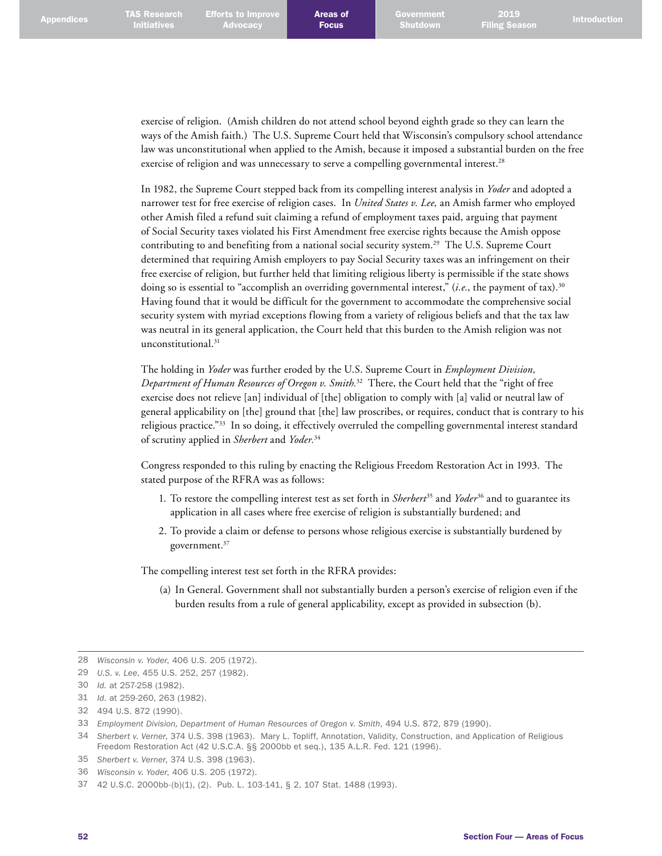exercise of religion. (Amish children do not attend school beyond eighth grade so they can learn the ways of the Amish faith.) The U.S. Supreme Court held that Wisconsin's compulsory school attendance law was unconstitutional when applied to the Amish, because it imposed a substantial burden on the free exercise of religion and was unnecessary to serve a compelling governmental interest.<sup>28</sup>

In 1982, the Supreme Court stepped back from its compelling interest analysis in *Yoder* and adopted a narrower test for free exercise of religion cases. In *United States v. Lee,* an Amish farmer who employed other Amish filed a refund suit claiming a refund of employment taxes paid, arguing that payment of Social Security taxes violated his First Amendment free exercise rights because the Amish oppose contributing to and benefiting from a national social security system. 29 The U.S. Supreme Court determined that requiring Amish employers to pay Social Security taxes was an infringement on their free exercise of religion, but further held that limiting religious liberty is permissible if the state shows doing so is essential to "accomplish an overriding governmental interest," (*i.e.*, the payment of tax)*.* 30 Having found that it would be difficult for the government to accommodate the comprehensive social security system with myriad exceptions flowing from a variety of religious beliefs and that the tax law was neutral in its general application, the Court held that this burden to the Amish religion was not unconstitutional. 31

The holding in *Yoder* was further eroded by the U.S. Supreme Court in *Employment Division, Department of Human Resources of Oregon v. Smith.*32 There, the Court held that the "right of free exercise does not relieve [an] individual of [the] obligation to comply with [a] valid or neutral law of general applicability on [the] ground that [the] law proscribes, or requires, conduct that is contrary to his religious practice."33 In so doing, it effectively overruled the compelling governmental interest standard of scrutiny applied in *Sherbert* and *Yoder.*<sup>34</sup>

Congress responded to this ruling by enacting the Religious Freedom Restoration Act in 1993. The stated purpose of the RFRA was as follows:

- 1. To restore the compelling interest test as set forth in *Sherbert*<sup>35</sup> and *Yoder*<sup>36</sup> and to guarantee its application in all cases where free exercise of religion is substantially burdened; and
- 2. To provide a claim or defense to persons whose religious exercise is substantially burdened by government. 37

The compelling interest test set forth in the RFRA provides:

(a) In General. Government shall not substantially burden a person's exercise of religion even if the burden results from a rule of general applicability, except as provided in subsection (b).

<sup>28</sup> *Wisconsin v. Yoder*, 406 U.S. 205 (1972).

<sup>29</sup> *U.S. v. Lee*, 455 U.S. 252, 257 (1982).

<sup>30</sup> *Id*. at 257-258 (1982).

<sup>31</sup> *Id*. at 259-260, 263 (1982).

<sup>32</sup> 494 U.S. 872 (1990).

<sup>33</sup> *Employment Division, Department of Human Resources of Oregon v. Smith*, 494 U.S. 872, 879 (1990).

<sup>34</sup> *Sherbert v. Verner*, [374 U.S. 398 \(1963\).](https://www.law.cornell.edu/supremecourt/text/374/398) Mary L. Topliff, Annotation, Validity, Construction, and Application of Religious Freedom Restoration Act (42 U.S.C.A. §§ 2000bb et seq.), 135 A.L.R. Fed. 121 (1996).

<sup>35</sup> *Sherbert v. Verner*, [374 U.S. 398 \(1963\).](https://www.law.cornell.edu/supremecourt/text/374/398)

<sup>36</sup> *Wisconsin v. Yoder*, [406 U.S. 205 \(1972\).](https://www.law.cornell.edu/supremecourt/text/406/205)

<sup>37</sup> 42 U.S.C. 2000bb-(b)(1), (2). Pub. L. 103-141, § 2, 107 Stat. 1488 (1993).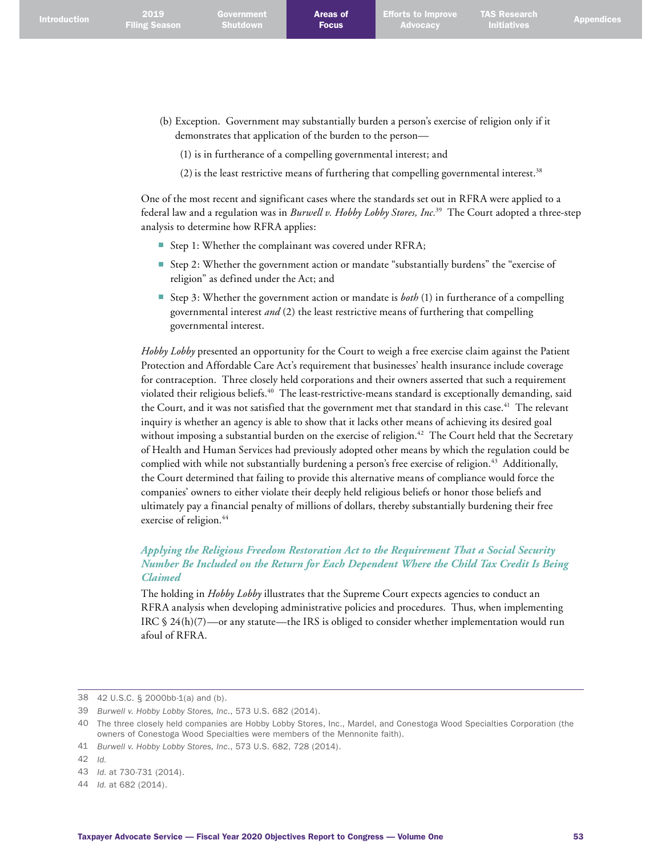- (b) Exception. Government may substantially burden a person's exercise of religion only if it demonstrates that application of the burden to the person—
	- (1) is in furtherance of a compelling governmental interest; and
	- (2) is the least restrictive means of furthering that compelling governmental interest.<sup>38</sup>

One of the most recent and significant cases where the standards set out in RFRA were applied to a federal law and a regulation was in *Burwell v. Hobby Lobby Stores, Inc.*39 The Court adopted a three-step analysis to determine how RFRA applies:

- Step 1: Whether the complainant was covered under RFRA;
- Step 2: Whether the government action or mandate "substantially burdens" the "exercise of religion" as defined under the Act; and
- Step 3: Whether the government action or mandate is *both* (1) in furtherance of a compelling governmental interest *and* (2) the least restrictive means of furthering that compelling governmental interest.

*Hobby Lobby* presented an opportunity for the Court to weigh a free exercise claim against the Patient Protection and Affordable Care Act's requirement that businesses' health insurance include coverage for contraception. Three closely held corporations and their owners asserted that such a requirement violated their religious beliefs. 40 The least-restrictive-means standard is exceptionally demanding, said the Court, and it was not satisfied that the government met that standard in this case.<sup>41</sup> The relevant inquiry is whether an agency is able to show that it lacks other means of achieving its desired goal without imposing a substantial burden on the exercise of religion. 42 The Court held that the Secretary of Health and Human Services had previously adopted other means by which the regulation could be complied with while not substantially burdening a person's free exercise of religion. 43 Additionally, the Court determined that failing to provide this alternative means of compliance would force the companies' owners to either violate their deeply held religious beliefs or honor those beliefs and ultimately pay a financial penalty of millions of dollars, thereby substantially burdening their free exercise of religion. 44

# *Applying the Religious Freedom Restoration Act to the Requirement That a Social Security Number Be Included on the Return for Each Dependent Where the Child Tax Credit Is Being Claimed*

The holding in *Hobby Lobby* illustrates that the Supreme Court expects agencies to conduct an RFRA analysis when developing administrative policies and procedures. Thus, when implementing IRC  $\S 24(h)(7)$ —or any statute—the IRS is obliged to consider whether implementation would run afoul of RFRA.

42 *Id.*

<sup>38</sup> 42 U.S.C. § 2000bb-1(a) and (b).

<sup>39</sup> *Burwell v. Hobby Lobby Stores, Inc*., 573 U.S. 682 (2014).

<sup>40</sup> The three closely held companies are Hobby Lobby Stores, Inc., Mardel, and Conestoga Wood Specialties Corporation (the owners of Conestoga Wood Specialties were members of the Mennonite faith).

<sup>41</sup> *Burwell v. Hobby Lobby Stores, Inc*., 573 U.S. 682, 728 (2014).

<sup>43</sup> *Id.* at 730-731 (2014).

<sup>44</sup> *Id.* at 682 (2014).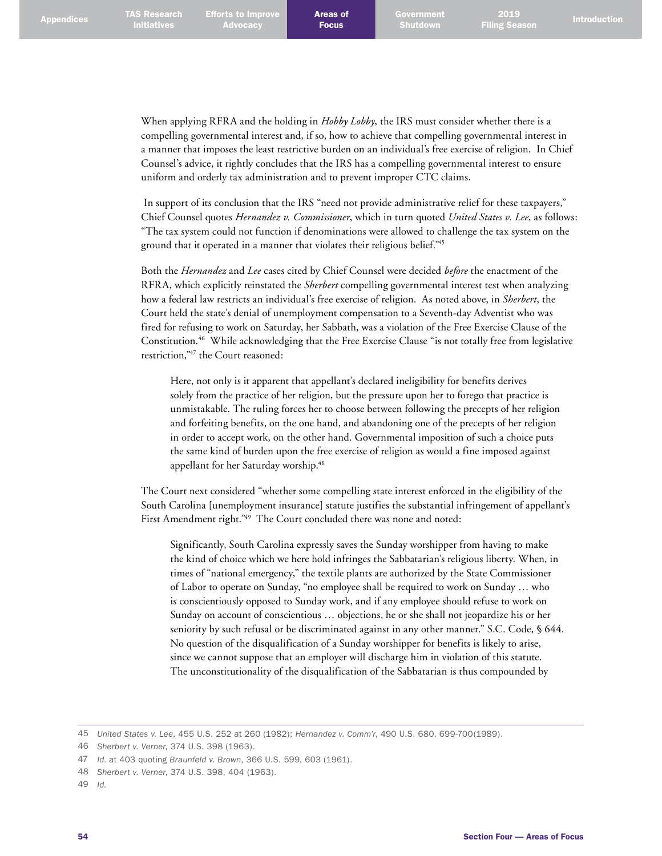When applying RFRA and the holding in *Hobby Lobby*, the IRS must consider whether there is a compelling governmental interest and, if so, how to achieve that compelling governmental interest in a manner that imposes the least restrictive burden on an individual's free exercise of religion. In Chief Counsel's advice, it rightly concludes that the IRS has a compelling governmental interest to ensure uniform and orderly tax administration and to prevent improper CTC claims.

 In support of its conclusion that the IRS "need not provide administrative relief for these taxpayers," Chief Counsel quotes *Hernandez v. Commissioner*, which in turn quoted *United States v. Lee*, as follows: "The tax system could not function if denominations were allowed to challenge the tax system on the ground that it operated in a manner that violates their religious belief." 45

Both the *Hernandez* and *Lee* cases cited by Chief Counsel were decided *before* the enactment of the RFRA, which explicitly reinstated the *Sherbert* compelling governmental interest test when analyzing how a federal law restricts an individual's free exercise of religion. As noted above, in *Sherbert*, the Court held the state's denial of unemployment compensation to a Seventh-day Adventist who was fired for refusing to work on Saturday, her Sabbath, was a violation of the Free Exercise Clause of the Constitution. 46 While acknowledging that the Free Exercise Clause "is not totally free from legislative restriction,<sup>"47</sup> the Court reasoned:

Here, not only is it apparent that appellant's declared ineligibility for benefits derives solely from the practice of her religion, but the pressure upon her to forego that practice is unmistakable. The ruling forces her to choose between following the precepts of her religion and forfeiting benefits, on the one hand, and abandoning one of the precepts of her religion in order to accept work, on the other hand. Governmental imposition of such a choice puts the same kind of burden upon the free exercise of religion as would a fine imposed against appellant for her Saturday worship. 48

The Court next considered "whether some compelling state interest enforced in the eligibility of the South Carolina [unemployment insurance] statute justifies the substantial infringement of appellant's First Amendment right." 49 The Court concluded there was none and noted:

Significantly, South Carolina expressly saves the Sunday worshipper from having to make the kind of choice which we here hold infringes the Sabbatarian's religious liberty. When, in times of "national emergency," the textile plants are authorized by the State Commissioner of Labor to operate on Sunday, "no employee shall be required to work on Sunday … who is conscientiously opposed to Sunday work, and if any employee should refuse to work on Sunday on account of conscientious … objections, he or she shall not jeopardize his or her seniority by such refusal or be discriminated against in any other manner." S.C. Code, § 644. No question of the disqualification of a Sunday worshipper for benefits is likely to arise, since we cannot suppose that an employer will discharge him in violation of this statute. The unconstitutionality of the disqualification of the Sabbatarian is thus compounded by

<sup>45</sup> *United States v. Lee*, 455 U.S. 252 at 260 (1982); *Hernandez v. Comm'r*, 490 U.S. 680, 699-700(1989).

<sup>46</sup> *Sherbert v. Verner*, 374 U.S. 398 (1963).

<sup>47</sup> *Id.* at 403 quoting *Braunfeld v. Brown*, 366 U.S. 599, 603 (1961).

<sup>48</sup> *Sherbert v. Verner*, 374 U.S. 398, 404 (1963).

<sup>49</sup> *Id.*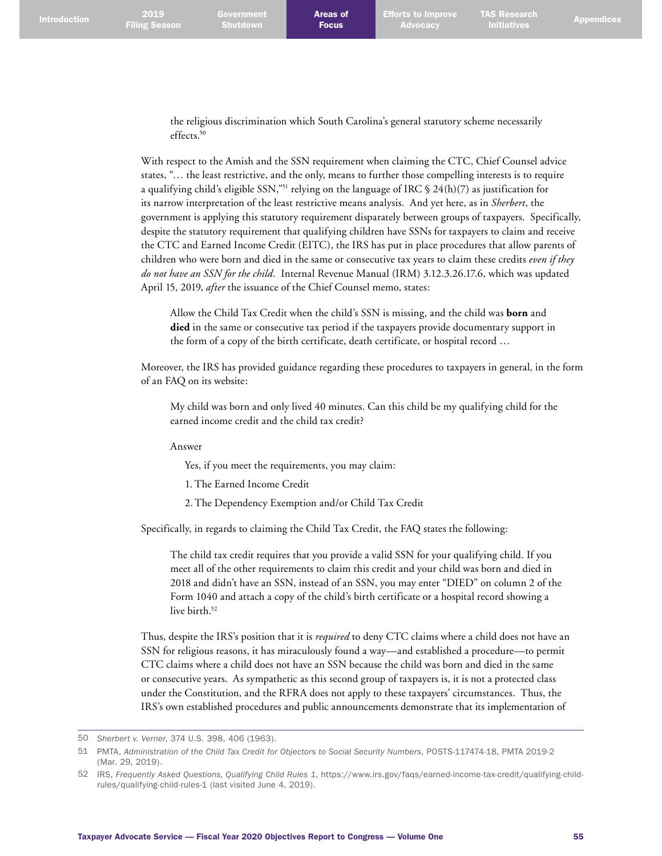Government Shutdown

TAS Research

the religious discrimination which South Carolina's general statutory scheme necessarily effects. 50

With respect to the Amish and the SSN requirement when claiming the CTC, Chief Counsel advice states, "… the least restrictive, and the only, means to further those compelling interests is to require a qualifying child's eligible SSN,"<sup>51</sup> relying on the language of IRC § 24(h)(7) as justification for its narrow interpretation of the least restrictive means analysis. And yet here, as in *Sherbert*, the government is applying this statutory requirement disparately between groups of taxpayers. Specifically, despite the statutory requirement that qualifying children have SSNs for taxpayers to claim and receive the CTC and Earned Income Credit (EITC), the IRS has put in place procedures that allow parents of children who were born and died in the same or consecutive tax years to claim these credits *even if they do not have an SSN for the child*. Internal Revenue Manual (IRM) 3.12.3.26.17.6, which was updated April 15, 2019, *after* the issuance of the Chief Counsel memo, states:

Allow the Child Tax Credit when the child's SSN is missing, and the child was **born** and **died** in the same or consecutive tax period if the taxpayers provide documentary support in the form of a copy of the birth certificate, death certificate, or hospital record …

Moreover, the IRS has provided guidance regarding these procedures to taxpayers in general, in the form of an FAQ on its website:

My child was born and only lived 40 minutes. Can this child be my qualifying child for the earned income credit and the child tax credit?

Answer

Yes, if you meet the requirements, you may claim:

1. The Earned Income Credit

2. The Dependency Exemption and/or Child Tax Credit

Specifically, in regards to claiming the Child Tax Credit, the FAQ states the following:

The child tax credit requires that you provide a valid SSN for your qualifying child. If you meet all of the other requirements to claim this credit and your child was born and died in 2018 and didn't have an SSN, instead of an SSN, you may enter "DIED" on column 2 of the Form 1040 and attach a copy of the child's birth certificate or a hospital record showing a live birth. 52

Thus, despite the IRS's position that it is *required* to deny CTC claims where a child does not have an SSN for religious reasons, it has miraculously found a way—and established a procedure—to permit CTC claims where a child does not have an SSN because the child was born and died in the same or consecutive years. As sympathetic as this second group of taxpayers is, it is not a protected class under the Constitution, and the RFRA does not apply to these taxpayers' circumstances. Thus, the IRS's own established procedures and public announcements demonstrate that its implementation of

<sup>50</sup> *Sherbert v. Verner*, 374 U.S. 398, 406 (1963).

<sup>51</sup> PMTA, *Administration of the Child Tax Credit for Objectors to Social Security Numbers*, POSTS-117474-18, PMTA 2019-2 (Mar. 29, 2019).

<sup>52</sup> IRS, *Frequently Asked Questions, Qualifying Child Rules 1*, [https://www.irs.gov/faqs/earned-income-tax-credit/qualifying-child](https://www.irs.gov/faqs/earned-income-tax-credit/qualifying-child-rules/qualifying-child-rules-1)[rules/qualifying-child-rules-1](https://www.irs.gov/faqs/earned-income-tax-credit/qualifying-child-rules/qualifying-child-rules-1) (last visited June 4, 2019).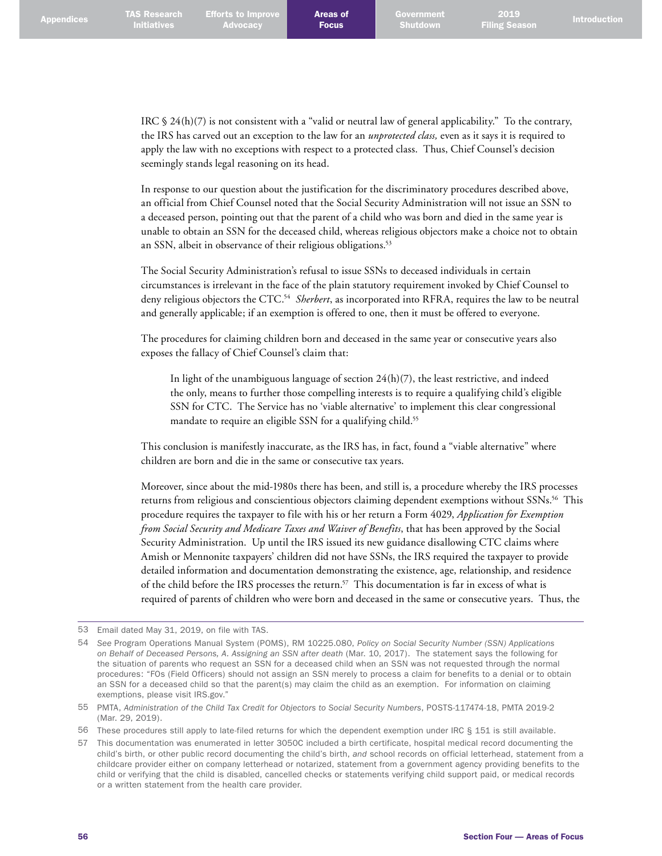IRC § 24(h)(7) is not consistent with a "valid or neutral law of general applicability." To the contrary, the IRS has carved out an exception to the law for an *unprotected class,* even as it says it is required to apply the law with no exceptions with respect to a protected class. Thus, Chief Counsel's decision seemingly stands legal reasoning on its head.

In response to our question about the justification for the discriminatory procedures described above, an official from Chief Counsel noted that the Social Security Administration will not issue an SSN to a deceased person, pointing out that the parent of a child who was born and died in the same year is unable to obtain an SSN for the deceased child, whereas religious objectors make a choice not to obtain an SSN, albeit in observance of their religious obligations. 53

The Social Security Administration's refusal to issue SSNs to deceased individuals in certain circumstances is irrelevant in the face of the plain statutory requirement invoked by Chief Counsel to deny religious objectors the CTC. 54 *Sherbert*, as incorporated into RFRA, requires the law to be neutral and generally applicable; if an exemption is offered to one, then it must be offered to everyone.

The procedures for claiming children born and deceased in the same year or consecutive years also exposes the fallacy of Chief Counsel's claim that:

In light of the unambiguous language of section  $24(h)(7)$ , the least restrictive, and indeed the only, means to further those compelling interests is to require a qualifying child's eligible SSN for CTC. The Service has no 'viable alternative' to implement this clear congressional mandate to require an eligible SSN for a qualifying child. 55

This conclusion is manifestly inaccurate, as the IRS has, in fact, found a "viable alternative" where children are born and die in the same or consecutive tax years.

Moreover, since about the mid-1980s there has been, and still is, a procedure whereby the IRS processes returns from religious and conscientious objectors claiming dependent exemptions without SSNs. 56 This procedure requires the taxpayer to file with his or her return a Form 4029, *Application for Exemption from Social Security and Medicare Taxes and Waiver of Benefits*, that has been approved by the Social Security Administration. Up until the IRS issued its new guidance disallowing CTC claims where Amish or Mennonite taxpayers' children did not have SSNs, the IRS required the taxpayer to provide detailed information and documentation demonstrating the existence, age, relationship, and residence of the child before the IRS processes the return. 57 This documentation is far in excess of what is required of parents of children who were born and deceased in the same or consecutive years. Thus, the

<sup>53</sup> Email dated May 31, 2019, on file with TAS.

<sup>54</sup> *See* Program Operations Manual System (POMS), RM 10225.080, *Policy on Social Security Number (SSN) Applications on Behalf of Deceased Persons, A. Assigning an SSN after death* (Mar. 10, 2017). The statement says the following for the situation of parents who request an SSN for a deceased child when an SSN was not requested through the normal procedures: "FOs (Field Officers) should not assign an SSN merely to process a claim for benefits to a denial or to obtain an SSN for a deceased child so that the parent(s) may claim the child as an exemption. For information on claiming exemptions, please visit IRS.gov."

<sup>55</sup> PMTA, *Administration of the Child Tax Credit for Objectors to Social Security Numbers*, POSTS-117474-18, PMTA 2019-2 (Mar. 29, 2019).

<sup>56</sup> These procedures still apply to late-filed returns for which the dependent exemption under IRC § 151 is still available.

<sup>57</sup> This documentation was enumerated in letter 3050C included a birth certificate, hospital medical record documenting the child's birth, or other public record documenting the child's birth, *and* school records on official letterhead, statement from a childcare provider either on company letterhead or notarized, statement from a government agency providing benefits to the child or verifying that the child is disabled, cancelled checks or statements verifying child support paid, or medical records or a written statement from the health care provider.